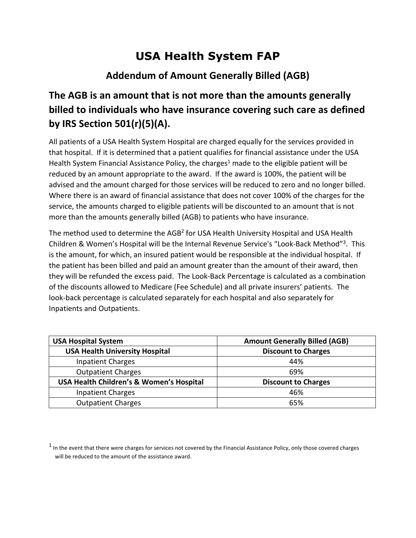## **USA Health System FAP**

## **Addendum of Amount Generally Billed (AGB)**

## **The AGB is an amount that is not more than the amounts generally billed to individuals who have insurance covering such care as defined by IRS Section 501(r)(5)(A).**

All patients of a USA Health System Hospital are charged equally for the services provided in that hospital. If it is determined that a patient qualifies for financial assistance under the USA Health System Financial Assistance Policy, the charges<sup>1</sup> made to the eligible patient will be reduced by an amount appropriate to the award. If the award is 100%, the patient will be advised and the amount charged for those services will be reduced to zero and no longer billed. Where there is an award of financial assistance that does not cover 100% of the charges for the service, the amounts charged to eligible patients will be discounted to an amount that is not more than the amounts generally billed (AGB) to patients who have insurance.

The method used to determine the AGB<sup>2</sup> for USA Health University Hospital and USA Health Children & Women's Hospital will be the Internal Revenue Service's "Look-Back Method"3. This is the amount, for which, an insured patient would be responsible at the individual hospital. If the patient has been billed and paid an amount greater than the amount of their award, then they will be refunded the excess paid. The Look-Back Percentage is calculated as a combination of the discounts allowed to Medicare (Fee Schedule) and all private insurers' patients. The look-back percentage is calculated separately for each hospital and also separately for Inpatients and Outpatients.

| <b>USA Hospital System</b>                          | <b>Amount Generally Billed (AGB)</b> |
|-----------------------------------------------------|--------------------------------------|
| <b>USA Health University Hospital</b>               | <b>Discount to Charges</b>           |
| <b>Inpatient Charges</b>                            | 44%                                  |
| <b>Outpatient Charges</b>                           | 69%                                  |
| <b>USA Health Children's &amp; Women's Hospital</b> | <b>Discount to Charges</b>           |
| <b>Inpatient Charges</b>                            | 46%                                  |
| <b>Outpatient Charges</b>                           | 65%                                  |

 $1$  In the event that there were charges for services not covered by the Financial Assistance Policy, only those covered charges will be reduced to the amount of the assistance award.